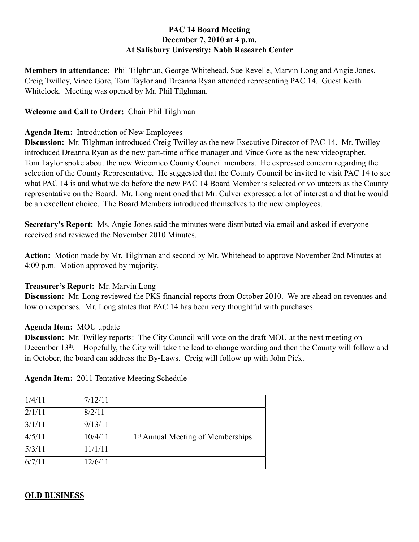## **PAC 14 Board Meeting December 7, 2010 at 4 p.m. At Salisbury University: Nabb Research Center**

**Members in attendance:** Phil Tilghman, George Whitehead, Sue Revelle, Marvin Long and Angie Jones. Creig Twilley, Vince Gore, Tom Taylor and Dreanna Ryan attended representing PAC 14. Guest Keith Whitelock. Meeting was opened by Mr. Phil Tilghman.

## **Welcome and Call to Order:** Chair Phil Tilghman

## **Agenda Item:** Introduction of New Employees

**Discussion:** Mr. Tilghman introduced Creig Twilley as the new Executive Director of PAC 14. Mr. Twilley introduced Dreanna Ryan as the new part-time office manager and Vince Gore as the new videographer. Tom Taylor spoke about the new Wicomico County Council members. He expressed concern regarding the selection of the County Representative. He suggested that the County Council be invited to visit PAC 14 to see what PAC 14 is and what we do before the new PAC 14 Board Member is selected or volunteers as the County representative on the Board. Mr. Long mentioned that Mr. Culver expressed a lot of interest and that he would be an excellent choice. The Board Members introduced themselves to the new employees.

**Secretary's Report:** Ms. Angie Jones said the minutes were distributed via email and asked if everyone received and reviewed the November 2010 Minutes.

**Action:** Motion made by Mr. Tilghman and second by Mr. Whitehead to approve November 2nd Minutes at 4:09 p.m. Motion approved by majority.

#### **Treasurer's Report:** Mr. Marvin Long

**Discussion:** Mr. Long reviewed the PKS financial reports from October 2010. We are ahead on revenues and low on expenses. Mr. Long states that PAC 14 has been very thoughtful with purchases.

#### **Agenda Item:** MOU update

**Discussion:** Mr. Twilley reports: The City Council will vote on the draft MOU at the next meeting on December 13<sup>th</sup>. Hopefully, the City will take the lead to change wording and then the County will follow and in October, the board can address the By-Laws. Creig will follow up with John Pick.

| 1/4/11 | 7/12/11 |                                               |
|--------|---------|-----------------------------------------------|
| 2/1/11 | 8/2/11  |                                               |
| 3/1/11 | 9/13/11 |                                               |
| 4/5/11 | 10/4/11 | 1 <sup>st</sup> Annual Meeting of Memberships |
| 5/3/11 | 11/1/11 |                                               |
| 6/7/11 | 12/6/11 |                                               |

# **Agenda Item:** 2011 Tentative Meeting Schedule

#### **OLD BUSINESS**